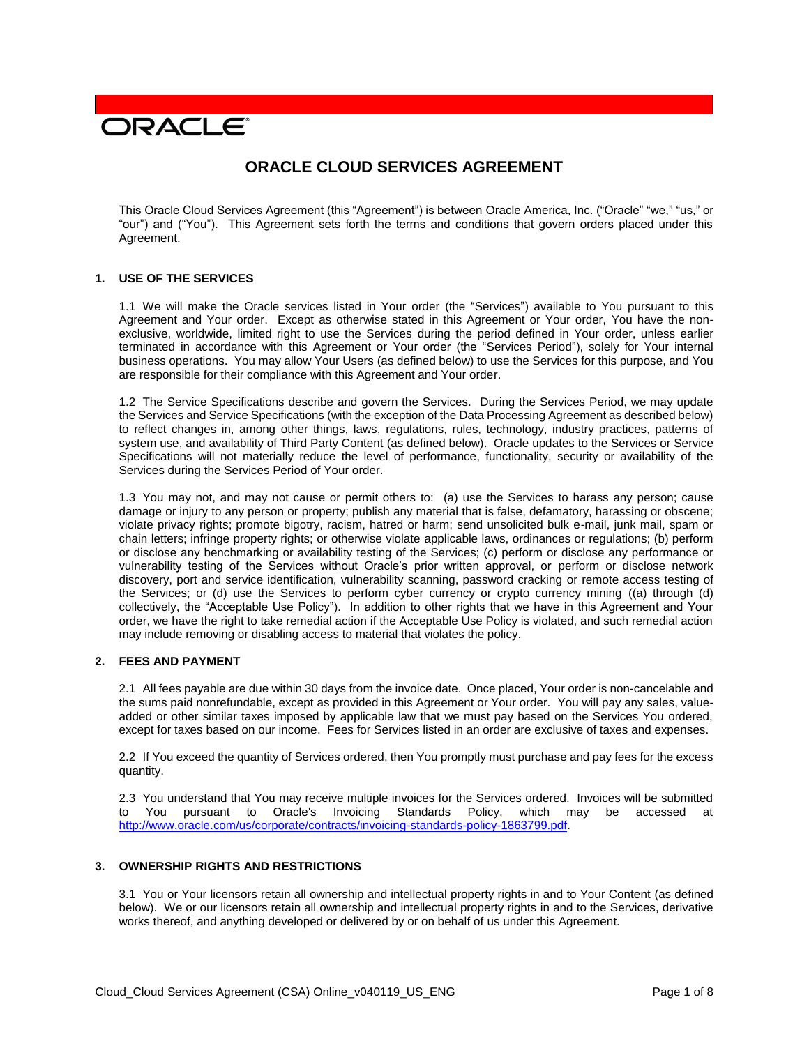# **DRACLE**

# **ORACLE CLOUD SERVICES AGREEMENT**

This Oracle Cloud Services Agreement (this "Agreement") is between Oracle America, Inc. ("Oracle" "we," "us," or "our") and ("You"). This Agreement sets forth the terms and conditions that govern orders placed under this Agreement.

#### **1. USE OF THE SERVICES**

1.1 We will make the Oracle services listed in Your order (the "Services") available to You pursuant to this Agreement and Your order. Except as otherwise stated in this Agreement or Your order, You have the nonexclusive, worldwide, limited right to use the Services during the period defined in Your order, unless earlier terminated in accordance with this Agreement or Your order (the "Services Period"), solely for Your internal business operations. You may allow Your Users (as defined below) to use the Services for this purpose, and You are responsible for their compliance with this Agreement and Your order.

1.2 The Service Specifications describe and govern the Services. During the Services Period, we may update the Services and Service Specifications (with the exception of the Data Processing Agreement as described below) to reflect changes in, among other things, laws, regulations, rules, technology, industry practices, patterns of system use, and availability of Third Party Content (as defined below). Oracle updates to the Services or Service Specifications will not materially reduce the level of performance, functionality, security or availability of the Services during the Services Period of Your order.

1.3 You may not, and may not cause or permit others to: (a) use the Services to harass any person; cause damage or injury to any person or property; publish any material that is false, defamatory, harassing or obscene; violate privacy rights; promote bigotry, racism, hatred or harm; send unsolicited bulk e-mail, junk mail, spam or chain letters; infringe property rights; or otherwise violate applicable laws, ordinances or regulations; (b) perform or disclose any benchmarking or availability testing of the Services; (c) perform or disclose any performance or vulnerability testing of the Services without Oracle's prior written approval, or perform or disclose network discovery, port and service identification, vulnerability scanning, password cracking or remote access testing of the Services; or (d) use the Services to perform cyber currency or crypto currency mining ((a) through (d) collectively, the "Acceptable Use Policy"). In addition to other rights that we have in this Agreement and Your order, we have the right to take remedial action if the Acceptable Use Policy is violated, and such remedial action may include removing or disabling access to material that violates the policy.

# **2. FEES AND PAYMENT**

2.1 All fees payable are due within 30 days from the invoice date. Once placed, Your order is non-cancelable and the sums paid nonrefundable, except as provided in this Agreement or Your order. You will pay any sales, valueadded or other similar taxes imposed by applicable law that we must pay based on the Services You ordered, except for taxes based on our income. Fees for Services listed in an order are exclusive of taxes and expenses.

2.2 If You exceed the quantity of Services ordered, then You promptly must purchase and pay fees for the excess quantity.

2.3 You understand that You may receive multiple invoices for the Services ordered. Invoices will be submitted to You pursuant to Oracle's Invoicing Standards Policy, which may be accessed at [http://www.oracle.com/us/corporate/contracts/invoicing-standards-policy-1863799.pdf.](http://www.oracle.com/us/corporate/contracts/invoicing-standards-policy-1863799.pdf)

#### **3. OWNERSHIP RIGHTS AND RESTRICTIONS**

3.1 You or Your licensors retain all ownership and intellectual property rights in and to Your Content (as defined below). We or our licensors retain all ownership and intellectual property rights in and to the Services, derivative works thereof, and anything developed or delivered by or on behalf of us under this Agreement.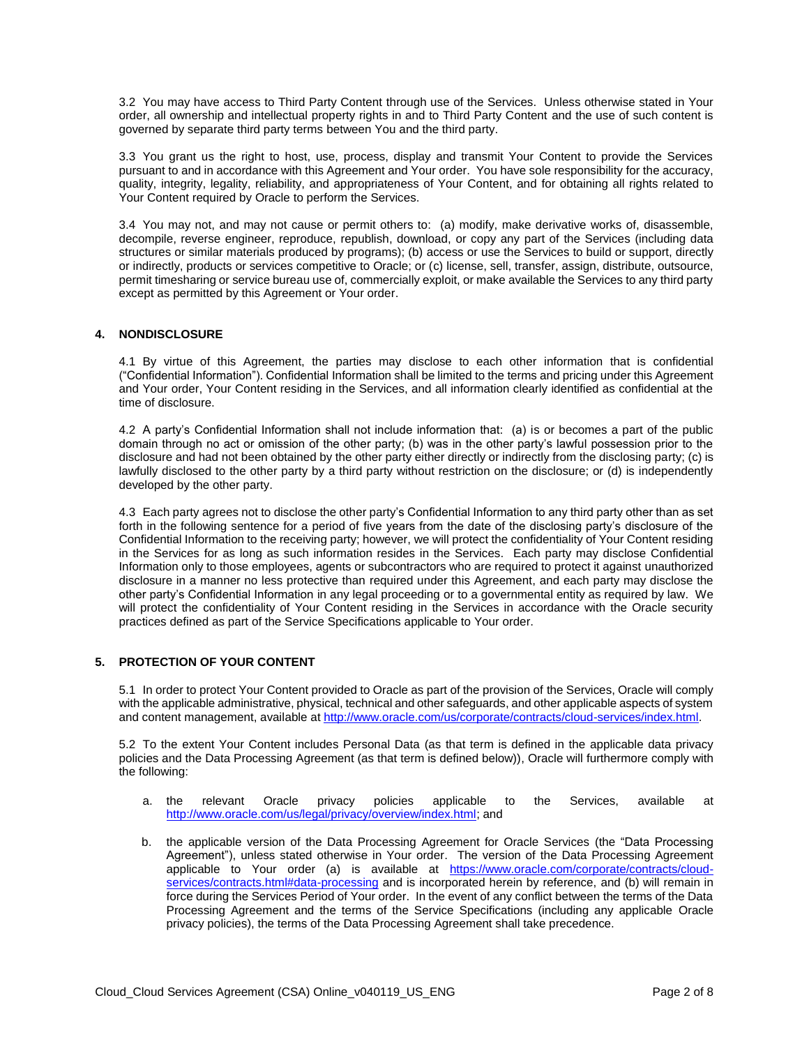3.2 You may have access to Third Party Content through use of the Services. Unless otherwise stated in Your order, all ownership and intellectual property rights in and to Third Party Content and the use of such content is governed by separate third party terms between You and the third party.

3.3 You grant us the right to host, use, process, display and transmit Your Content to provide the Services pursuant to and in accordance with this Agreement and Your order. You have sole responsibility for the accuracy, quality, integrity, legality, reliability, and appropriateness of Your Content, and for obtaining all rights related to Your Content required by Oracle to perform the Services.

3.4 You may not, and may not cause or permit others to: (a) modify, make derivative works of, disassemble, decompile, reverse engineer, reproduce, republish, download, or copy any part of the Services (including data structures or similar materials produced by programs); (b) access or use the Services to build or support, directly or indirectly, products or services competitive to Oracle; or (c) license, sell, transfer, assign, distribute, outsource, permit timesharing or service bureau use of, commercially exploit, or make available the Services to any third party except as permitted by this Agreement or Your order.

# **4. NONDISCLOSURE**

4.1 By virtue of this Agreement, the parties may disclose to each other information that is confidential ("Confidential Information"). Confidential Information shall be limited to the terms and pricing under this Agreement and Your order, Your Content residing in the Services, and all information clearly identified as confidential at the time of disclosure.

4.2 A party's Confidential Information shall not include information that: (a) is or becomes a part of the public domain through no act or omission of the other party; (b) was in the other party's lawful possession prior to the disclosure and had not been obtained by the other party either directly or indirectly from the disclosing party; (c) is lawfully disclosed to the other party by a third party without restriction on the disclosure; or (d) is independently developed by the other party.

4.3 Each party agrees not to disclose the other party's Confidential Information to any third party other than as set forth in the following sentence for a period of five years from the date of the disclosing party's disclosure of the Confidential Information to the receiving party; however, we will protect the confidentiality of Your Content residing in the Services for as long as such information resides in the Services. Each party may disclose Confidential Information only to those employees, agents or subcontractors who are required to protect it against unauthorized disclosure in a manner no less protective than required under this Agreement, and each party may disclose the other party's Confidential Information in any legal proceeding or to a governmental entity as required by law. We will protect the confidentiality of Your Content residing in the Services in accordance with the Oracle security practices defined as part of the Service Specifications applicable to Your order.

# **5. PROTECTION OF YOUR CONTENT**

5.1 In order to protect Your Content provided to Oracle as part of the provision of the Services, Oracle will comply with the applicable administrative, physical, technical and other safeguards, and other applicable aspects of system and content management, available at [http://www.oracle.com/us/corporate/contracts/cloud-services/index.html.](http://www.oracle.com/us/corporate/contracts/cloud-services/index.html)

5.2 To the extent Your Content includes Personal Data (as that term is defined in the applicable data privacy policies and the Data Processing Agreement (as that term is defined below)), Oracle will furthermore comply with the following:

- a. the relevant Oracle privacy policies applicable to the Services, available at [http://www.oracle.com/us/legal/privacy/overview/index.html;](http://www.oracle.com/us/legal/privacy/overview/index.html) and
- b. the applicable version of the Data Processing Agreement for Oracle Services (the "Data Processing Agreement"), unless stated otherwise in Your order. The version of the Data Processing Agreement applicable to Your order (a) is available at [https://www.oracle.com/corporate/contracts/cloud](https://www.oracle.com/corporate/contracts/cloud-services/contracts.html#data-processing)[services/contracts.html#data-processing](https://www.oracle.com/corporate/contracts/cloud-services/contracts.html#data-processing) and is incorporated herein by reference, and (b) will remain in force during the Services Period of Your order. In the event of any conflict between the terms of the Data Processing Agreement and the terms of the Service Specifications (including any applicable Oracle privacy policies), the terms of the Data Processing Agreement shall take precedence.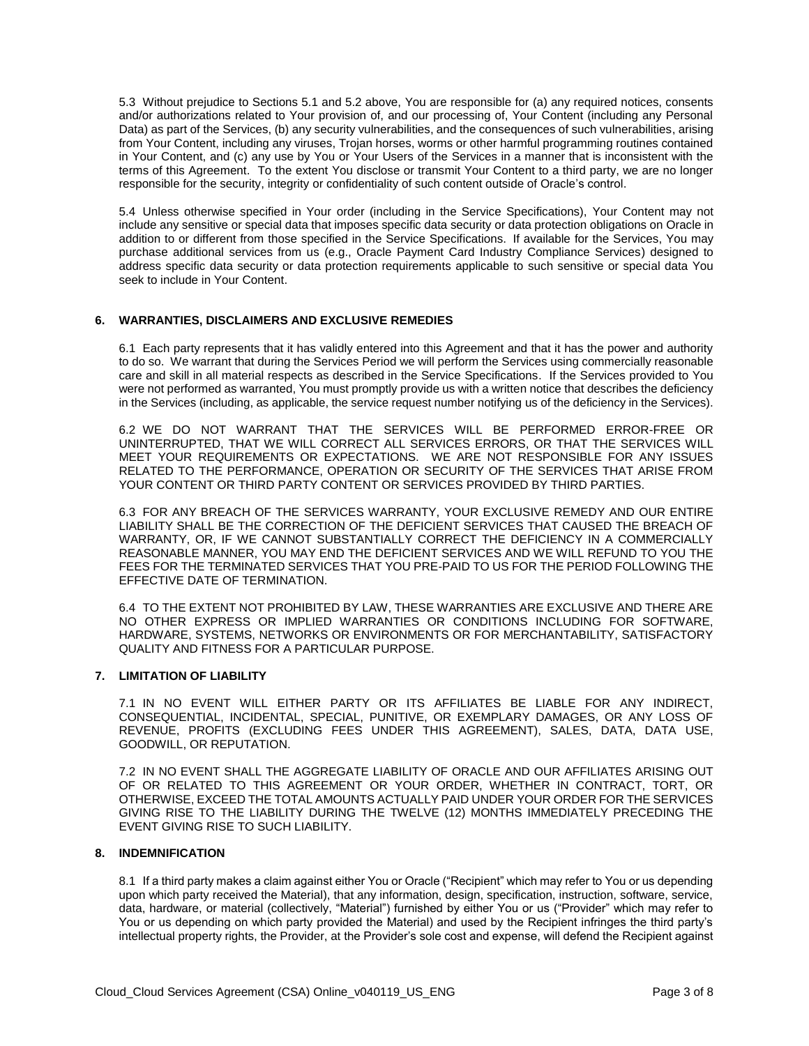5.3 Without prejudice to Sections 5.1 and 5.2 above, You are responsible for (a) any required notices, consents and/or authorizations related to Your provision of, and our processing of, Your Content (including any Personal Data) as part of the Services, (b) any security vulnerabilities, and the consequences of such vulnerabilities, arising from Your Content, including any viruses, Trojan horses, worms or other harmful programming routines contained in Your Content, and (c) any use by You or Your Users of the Services in a manner that is inconsistent with the terms of this Agreement. To the extent You disclose or transmit Your Content to a third party, we are no longer responsible for the security, integrity or confidentiality of such content outside of Oracle's control.

5.4 Unless otherwise specified in Your order (including in the Service Specifications), Your Content may not include any sensitive or special data that imposes specific data security or data protection obligations on Oracle in addition to or different from those specified in the Service Specifications. If available for the Services, You may purchase additional services from us (e.g., Oracle Payment Card Industry Compliance Services) designed to address specific data security or data protection requirements applicable to such sensitive or special data You seek to include in Your Content.

#### **6. WARRANTIES, DISCLAIMERS AND EXCLUSIVE REMEDIES**

6.1 Each party represents that it has validly entered into this Agreement and that it has the power and authority to do so. We warrant that during the Services Period we will perform the Services using commercially reasonable care and skill in all material respects as described in the Service Specifications. If the Services provided to You were not performed as warranted, You must promptly provide us with a written notice that describes the deficiency in the Services (including, as applicable, the service request number notifying us of the deficiency in the Services).

6.2 WE DO NOT WARRANT THAT THE SERVICES WILL BE PERFORMED ERROR-FREE OR UNINTERRUPTED, THAT WE WILL CORRECT ALL SERVICES ERRORS, OR THAT THE SERVICES WILL MEET YOUR REQUIREMENTS OR EXPECTATIONS. WE ARE NOT RESPONSIBLE FOR ANY ISSUES RELATED TO THE PERFORMANCE, OPERATION OR SECURITY OF THE SERVICES THAT ARISE FROM YOUR CONTENT OR THIRD PARTY CONTENT OR SERVICES PROVIDED BY THIRD PARTIES.

6.3 FOR ANY BREACH OF THE SERVICES WARRANTY, YOUR EXCLUSIVE REMEDY AND OUR ENTIRE LIABILITY SHALL BE THE CORRECTION OF THE DEFICIENT SERVICES THAT CAUSED THE BREACH OF WARRANTY, OR, IF WE CANNOT SUBSTANTIALLY CORRECT THE DEFICIENCY IN A COMMERCIALLY REASONABLE MANNER, YOU MAY END THE DEFICIENT SERVICES AND WE WILL REFUND TO YOU THE FEES FOR THE TERMINATED SERVICES THAT YOU PRE-PAID TO US FOR THE PERIOD FOLLOWING THE EFFECTIVE DATE OF TERMINATION.

6.4 TO THE EXTENT NOT PROHIBITED BY LAW, THESE WARRANTIES ARE EXCLUSIVE AND THERE ARE NO OTHER EXPRESS OR IMPLIED WARRANTIES OR CONDITIONS INCLUDING FOR SOFTWARE, HARDWARE, SYSTEMS, NETWORKS OR ENVIRONMENTS OR FOR MERCHANTABILITY, SATISFACTORY QUALITY AND FITNESS FOR A PARTICULAR PURPOSE.

#### **7. LIMITATION OF LIABILITY**

7.1 IN NO EVENT WILL EITHER PARTY OR ITS AFFILIATES BE LIABLE FOR ANY INDIRECT, CONSEQUENTIAL, INCIDENTAL, SPECIAL, PUNITIVE, OR EXEMPLARY DAMAGES, OR ANY LOSS OF REVENUE, PROFITS (EXCLUDING FEES UNDER THIS AGREEMENT), SALES, DATA, DATA USE, GOODWILL, OR REPUTATION.

7.2 IN NO EVENT SHALL THE AGGREGATE LIABILITY OF ORACLE AND OUR AFFILIATES ARISING OUT OF OR RELATED TO THIS AGREEMENT OR YOUR ORDER, WHETHER IN CONTRACT, TORT, OR OTHERWISE, EXCEED THE TOTAL AMOUNTS ACTUALLY PAID UNDER YOUR ORDER FOR THE SERVICES GIVING RISE TO THE LIABILITY DURING THE TWELVE (12) MONTHS IMMEDIATELY PRECEDING THE EVENT GIVING RISE TO SUCH LIABILITY.

#### **8. INDEMNIFICATION**

8.1 If a third party makes a claim against either You or Oracle ("Recipient" which may refer to You or us depending upon which party received the Material), that any information, design, specification, instruction, software, service, data, hardware, or material (collectively, "Material") furnished by either You or us ("Provider" which may refer to You or us depending on which party provided the Material) and used by the Recipient infringes the third party's intellectual property rights, the Provider, at the Provider's sole cost and expense, will defend the Recipient against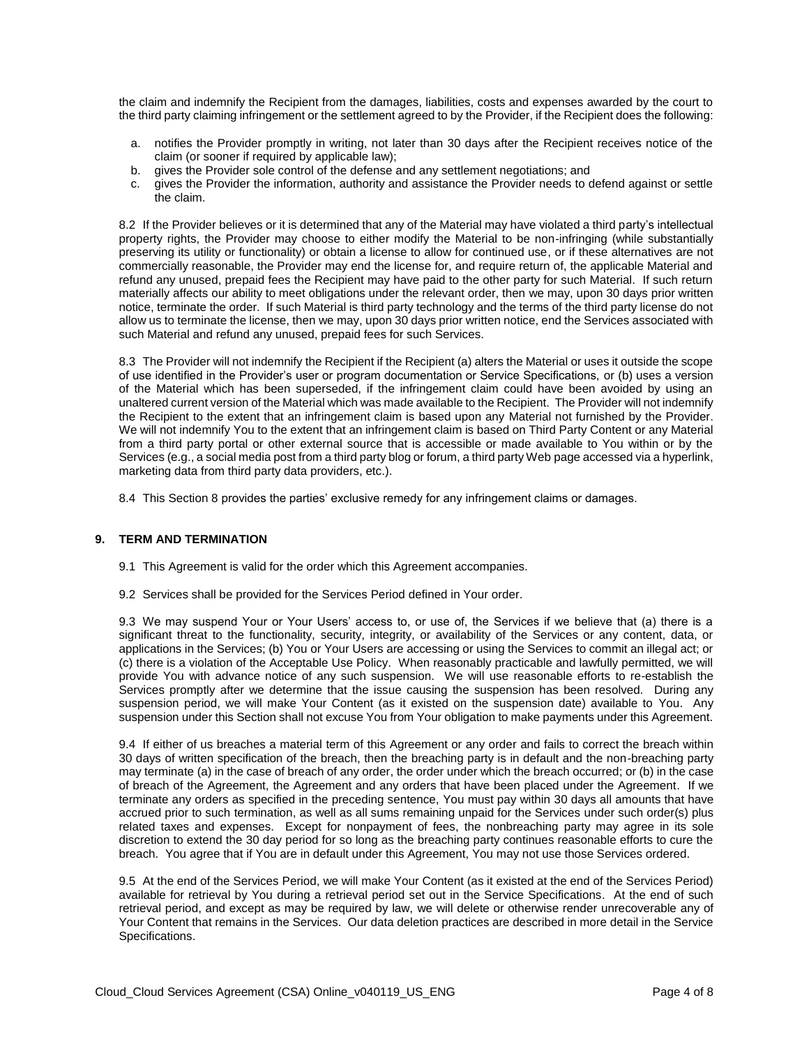the claim and indemnify the Recipient from the damages, liabilities, costs and expenses awarded by the court to the third party claiming infringement or the settlement agreed to by the Provider, if the Recipient does the following:

- a. notifies the Provider promptly in writing, not later than 30 days after the Recipient receives notice of the claim (or sooner if required by applicable law);
- b. gives the Provider sole control of the defense and any settlement negotiations; and
- c. gives the Provider the information, authority and assistance the Provider needs to defend against or settle the claim.

8.2 If the Provider believes or it is determined that any of the Material may have violated a third party's intellectual property rights, the Provider may choose to either modify the Material to be non-infringing (while substantially preserving its utility or functionality) or obtain a license to allow for continued use, or if these alternatives are not commercially reasonable, the Provider may end the license for, and require return of, the applicable Material and refund any unused, prepaid fees the Recipient may have paid to the other party for such Material. If such return materially affects our ability to meet obligations under the relevant order, then we may, upon 30 days prior written notice, terminate the order. If such Material is third party technology and the terms of the third party license do not allow us to terminate the license, then we may, upon 30 days prior written notice, end the Services associated with such Material and refund any unused, prepaid fees for such Services.

8.3 The Provider will not indemnify the Recipient if the Recipient (a) alters the Material or uses it outside the scope of use identified in the Provider's user or program documentation or Service Specifications, or (b) uses a version of the Material which has been superseded, if the infringement claim could have been avoided by using an unaltered current version of the Material which was made available to the Recipient. The Provider will not indemnify the Recipient to the extent that an infringement claim is based upon any Material not furnished by the Provider. We will not indemnify You to the extent that an infringement claim is based on Third Party Content or any Material from a third party portal or other external source that is accessible or made available to You within or by the Services (e.g., a social media post from a third party blog or forum, a third party Web page accessed via a hyperlink, marketing data from third party data providers, etc.).

8.4 This Section 8 provides the parties' exclusive remedy for any infringement claims or damages.

#### **9. TERM AND TERMINATION**

- 9.1 This Agreement is valid for the order which this Agreement accompanies.
- 9.2 Services shall be provided for the Services Period defined in Your order.

9.3 We may suspend Your or Your Users' access to, or use of, the Services if we believe that (a) there is a significant threat to the functionality, security, integrity, or availability of the Services or any content, data, or applications in the Services; (b) You or Your Users are accessing or using the Services to commit an illegal act; or (c) there is a violation of the Acceptable Use Policy. When reasonably practicable and lawfully permitted, we will provide You with advance notice of any such suspension. We will use reasonable efforts to re-establish the Services promptly after we determine that the issue causing the suspension has been resolved. During any suspension period, we will make Your Content (as it existed on the suspension date) available to You. Any suspension under this Section shall not excuse You from Your obligation to make payments under this Agreement.

9.4 If either of us breaches a material term of this Agreement or any order and fails to correct the breach within 30 days of written specification of the breach, then the breaching party is in default and the non-breaching party may terminate (a) in the case of breach of any order, the order under which the breach occurred; or (b) in the case of breach of the Agreement, the Agreement and any orders that have been placed under the Agreement. If we terminate any orders as specified in the preceding sentence, You must pay within 30 days all amounts that have accrued prior to such termination, as well as all sums remaining unpaid for the Services under such order(s) plus related taxes and expenses. Except for nonpayment of fees, the nonbreaching party may agree in its sole discretion to extend the 30 day period for so long as the breaching party continues reasonable efforts to cure the breach. You agree that if You are in default under this Agreement, You may not use those Services ordered.

9.5 At the end of the Services Period, we will make Your Content (as it existed at the end of the Services Period) available for retrieval by You during a retrieval period set out in the Service Specifications. At the end of such retrieval period, and except as may be required by law, we will delete or otherwise render unrecoverable any of Your Content that remains in the Services. Our data deletion practices are described in more detail in the Service Specifications.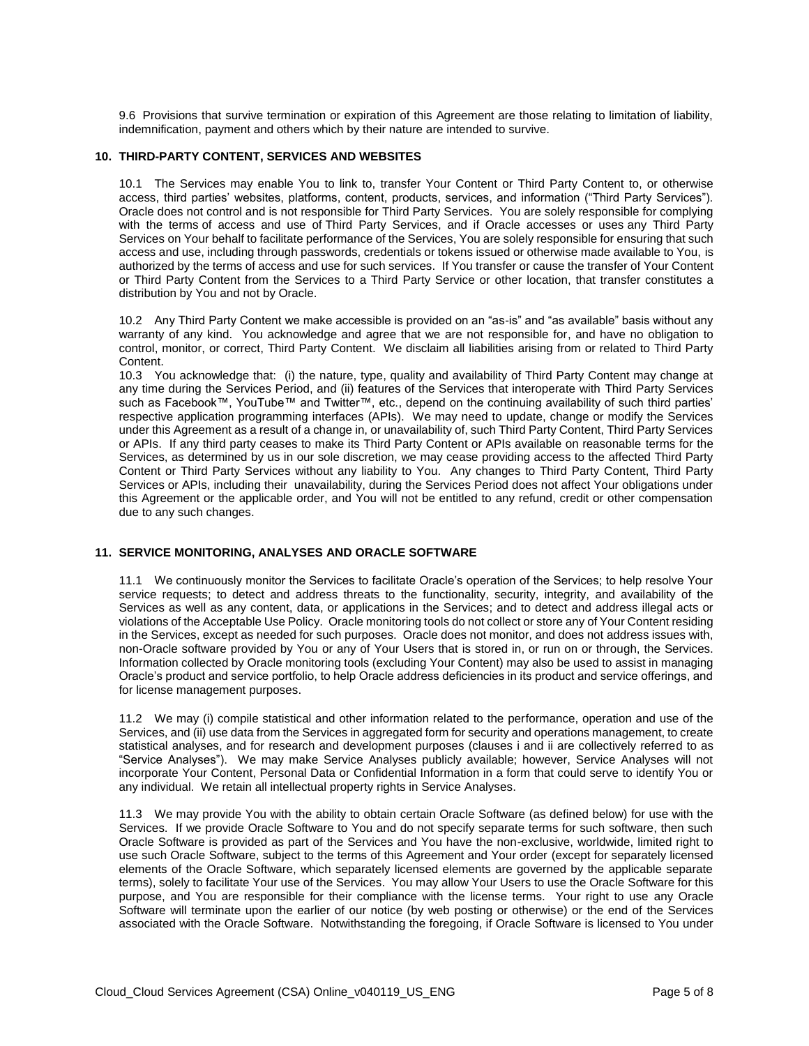9.6 Provisions that survive termination or expiration of this Agreement are those relating to limitation of liability, indemnification, payment and others which by their nature are intended to survive.

#### **10. THIRD-PARTY CONTENT, SERVICES AND WEBSITES**

10.1 The Services may enable You to link to, transfer Your Content or Third Party Content to, or otherwise access, third parties' websites, platforms, content, products, services, and information ("Third Party Services"). Oracle does not control and is not responsible for Third Party Services. You are solely responsible for complying with the terms of access and use of Third Party Services, and if Oracle accesses or uses any Third Party Services on Your behalf to facilitate performance of the Services, You are solely responsible for ensuring that such access and use, including through passwords, credentials or tokens issued or otherwise made available to You, is authorized by the terms of access and use for such services. If You transfer or cause the transfer of Your Content or Third Party Content from the Services to a Third Party Service or other location, that transfer constitutes a distribution by You and not by Oracle.

10.2 Any Third Party Content we make accessible is provided on an "as-is" and "as available" basis without any warranty of any kind. You acknowledge and agree that we are not responsible for, and have no obligation to control, monitor, or correct, Third Party Content. We disclaim all liabilities arising from or related to Third Party Content.

10.3 You acknowledge that: (i) the nature, type, quality and availability of Third Party Content may change at any time during the Services Period, and (ii) features of the Services that interoperate with Third Party Services such as Facebook™, YouTube™ and Twitter™, etc., depend on the continuing availability of such third parties' respective application programming interfaces (APIs). We may need to update, change or modify the Services under this Agreement as a result of a change in, or unavailability of, such Third Party Content, Third Party Services or APIs. If any third party ceases to make its Third Party Content or APIs available on reasonable terms for the Services, as determined by us in our sole discretion, we may cease providing access to the affected Third Party Content or Third Party Services without any liability to You. Any changes to Third Party Content, Third Party Services or APIs, including their unavailability, during the Services Period does not affect Your obligations under this Agreement or the applicable order, and You will not be entitled to any refund, credit or other compensation due to any such changes.

## **11. SERVICE MONITORING, ANALYSES AND ORACLE SOFTWARE**

11.1 We continuously monitor the Services to facilitate Oracle's operation of the Services; to help resolve Your service requests; to detect and address threats to the functionality, security, integrity, and availability of the Services as well as any content, data, or applications in the Services; and to detect and address illegal acts or violations of the Acceptable Use Policy. Oracle monitoring tools do not collect or store any of Your Content residing in the Services, except as needed for such purposes. Oracle does not monitor, and does not address issues with, non-Oracle software provided by You or any of Your Users that is stored in, or run on or through, the Services. Information collected by Oracle monitoring tools (excluding Your Content) may also be used to assist in managing Oracle's product and service portfolio, to help Oracle address deficiencies in its product and service offerings, and for license management purposes.

11.2 We may (i) compile statistical and other information related to the performance, operation and use of the Services, and (ii) use data from the Services in aggregated form for security and operations management, to create statistical analyses, and for research and development purposes (clauses i and ii are collectively referred to as "Service Analyses"). We may make Service Analyses publicly available; however, Service Analyses will not incorporate Your Content, Personal Data or Confidential Information in a form that could serve to identify You or any individual. We retain all intellectual property rights in Service Analyses.

11.3 We may provide You with the ability to obtain certain Oracle Software (as defined below) for use with the Services. If we provide Oracle Software to You and do not specify separate terms for such software, then such Oracle Software is provided as part of the Services and You have the non-exclusive, worldwide, limited right to use such Oracle Software, subject to the terms of this Agreement and Your order (except for separately licensed elements of the Oracle Software, which separately licensed elements are governed by the applicable separate terms), solely to facilitate Your use of the Services. You may allow Your Users to use the Oracle Software for this purpose, and You are responsible for their compliance with the license terms. Your right to use any Oracle Software will terminate upon the earlier of our notice (by web posting or otherwise) or the end of the Services associated with the Oracle Software. Notwithstanding the foregoing, if Oracle Software is licensed to You under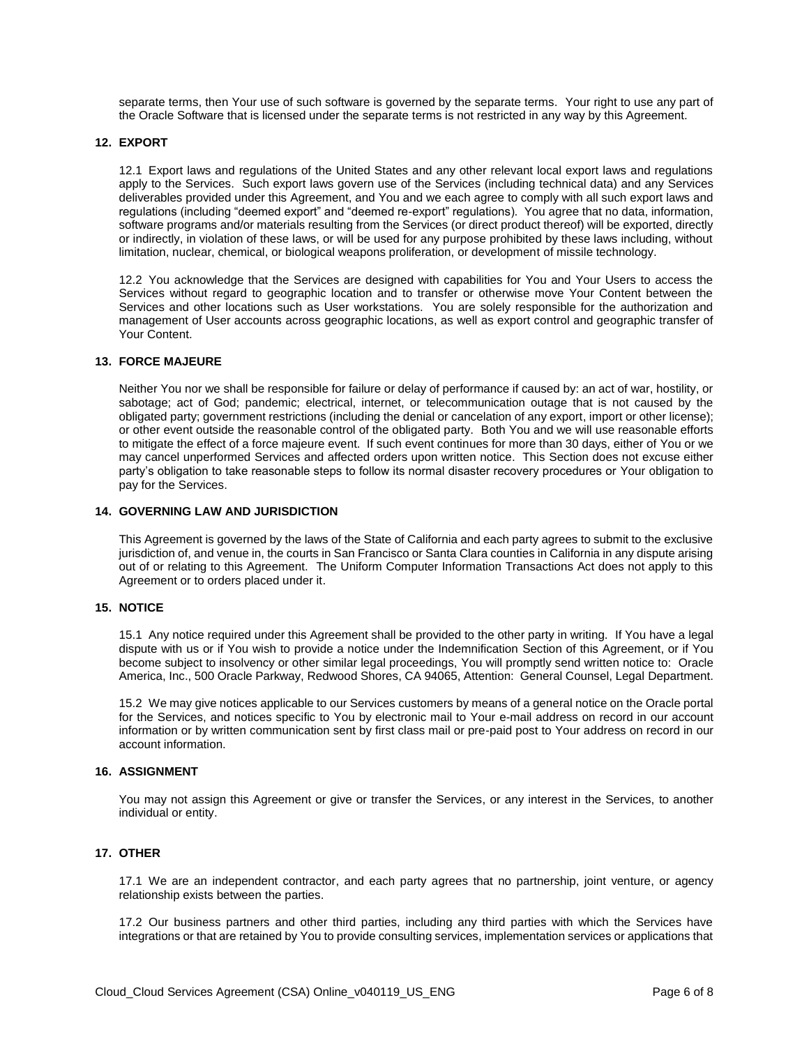separate terms, then Your use of such software is governed by the separate terms. Your right to use any part of the Oracle Software that is licensed under the separate terms is not restricted in any way by this Agreement.

#### **12. EXPORT**

12.1 Export laws and regulations of the United States and any other relevant local export laws and regulations apply to the Services. Such export laws govern use of the Services (including technical data) and any Services deliverables provided under this Agreement, and You and we each agree to comply with all such export laws and regulations (including "deemed export" and "deemed re-export" regulations). You agree that no data, information, software programs and/or materials resulting from the Services (or direct product thereof) will be exported, directly or indirectly, in violation of these laws, or will be used for any purpose prohibited by these laws including, without limitation, nuclear, chemical, or biological weapons proliferation, or development of missile technology.

12.2 You acknowledge that the Services are designed with capabilities for You and Your Users to access the Services without regard to geographic location and to transfer or otherwise move Your Content between the Services and other locations such as User workstations. You are solely responsible for the authorization and management of User accounts across geographic locations, as well as export control and geographic transfer of Your Content.

#### **13. FORCE MAJEURE**

Neither You nor we shall be responsible for failure or delay of performance if caused by: an act of war, hostility, or sabotage; act of God; pandemic; electrical, internet, or telecommunication outage that is not caused by the obligated party; government restrictions (including the denial or cancelation of any export, import or other license); or other event outside the reasonable control of the obligated party. Both You and we will use reasonable efforts to mitigate the effect of a force majeure event. If such event continues for more than 30 days, either of You or we may cancel unperformed Services and affected orders upon written notice. This Section does not excuse either party's obligation to take reasonable steps to follow its normal disaster recovery procedures or Your obligation to pay for the Services.

## **14. GOVERNING LAW AND JURISDICTION**

This Agreement is governed by the laws of the State of California and each party agrees to submit to the exclusive jurisdiction of, and venue in, the courts in San Francisco or Santa Clara counties in California in any dispute arising out of or relating to this Agreement. The Uniform Computer Information Transactions Act does not apply to this Agreement or to orders placed under it.

#### **15. NOTICE**

15.1 Any notice required under this Agreement shall be provided to the other party in writing. If You have a legal dispute with us or if You wish to provide a notice under the Indemnification Section of this Agreement, or if You become subject to insolvency or other similar legal proceedings, You will promptly send written notice to: Oracle America, Inc., 500 Oracle Parkway, Redwood Shores, CA 94065, Attention: General Counsel, Legal Department.

15.2 We may give notices applicable to our Services customers by means of a general notice on the Oracle portal for the Services, and notices specific to You by electronic mail to Your e-mail address on record in our account information or by written communication sent by first class mail or pre-paid post to Your address on record in our account information.

#### **16. ASSIGNMENT**

You may not assign this Agreement or give or transfer the Services, or any interest in the Services, to another individual or entity.

# **17. OTHER**

17.1 We are an independent contractor, and each party agrees that no partnership, joint venture, or agency relationship exists between the parties.

17.2 Our business partners and other third parties, including any third parties with which the Services have integrations or that are retained by You to provide consulting services, implementation services or applications that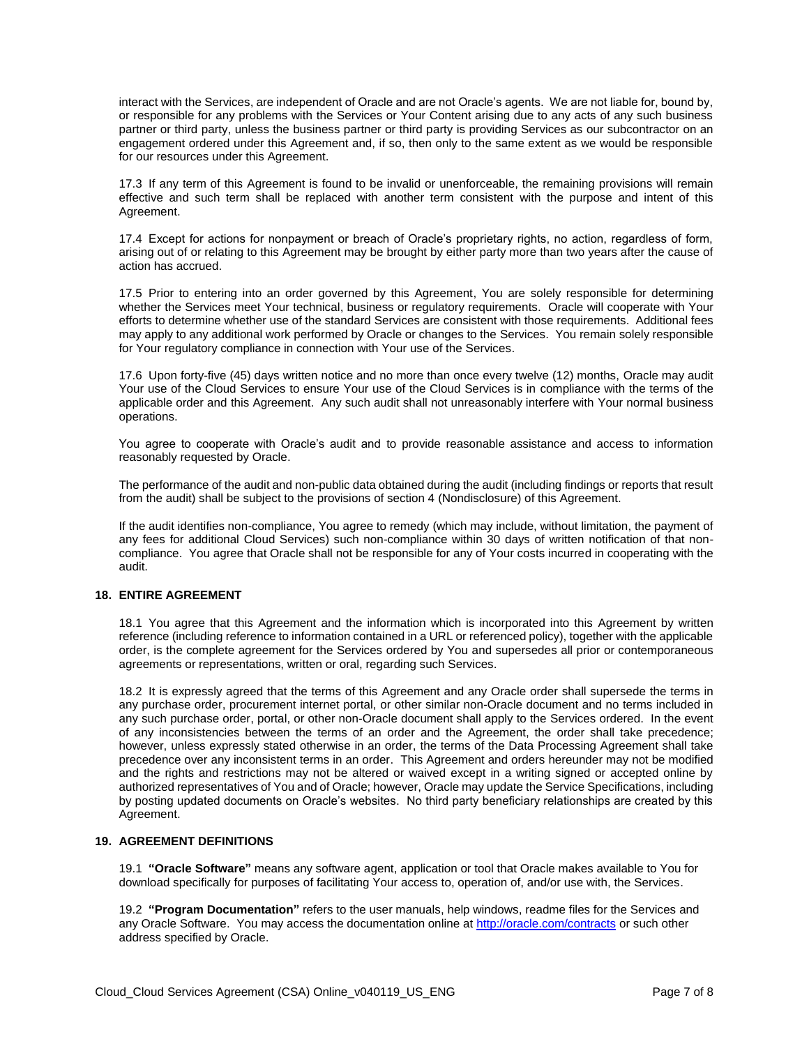interact with the Services, are independent of Oracle and are not Oracle's agents. We are not liable for, bound by, or responsible for any problems with the Services or Your Content arising due to any acts of any such business partner or third party, unless the business partner or third party is providing Services as our subcontractor on an engagement ordered under this Agreement and, if so, then only to the same extent as we would be responsible for our resources under this Agreement.

17.3 If any term of this Agreement is found to be invalid or unenforceable, the remaining provisions will remain effective and such term shall be replaced with another term consistent with the purpose and intent of this Agreement.

17.4 Except for actions for nonpayment or breach of Oracle's proprietary rights, no action, regardless of form, arising out of or relating to this Agreement may be brought by either party more than two years after the cause of action has accrued.

17.5 Prior to entering into an order governed by this Agreement, You are solely responsible for determining whether the Services meet Your technical, business or regulatory requirements. Oracle will cooperate with Your efforts to determine whether use of the standard Services are consistent with those requirements. Additional fees may apply to any additional work performed by Oracle or changes to the Services. You remain solely responsible for Your regulatory compliance in connection with Your use of the Services.

17.6 Upon forty-five (45) days written notice and no more than once every twelve (12) months, Oracle may audit Your use of the Cloud Services to ensure Your use of the Cloud Services is in compliance with the terms of the applicable order and this Agreement. Any such audit shall not unreasonably interfere with Your normal business operations.

You agree to cooperate with Oracle's audit and to provide reasonable assistance and access to information reasonably requested by Oracle.

The performance of the audit and non-public data obtained during the audit (including findings or reports that result from the audit) shall be subject to the provisions of section 4 (Nondisclosure) of this Agreement.

If the audit identifies non-compliance, You agree to remedy (which may include, without limitation, the payment of any fees for additional Cloud Services) such non-compliance within 30 days of written notification of that noncompliance. You agree that Oracle shall not be responsible for any of Your costs incurred in cooperating with the audit.

# **18. ENTIRE AGREEMENT**

18.1 You agree that this Agreement and the information which is incorporated into this Agreement by written reference (including reference to information contained in a URL or referenced policy), together with the applicable order, is the complete agreement for the Services ordered by You and supersedes all prior or contemporaneous agreements or representations, written or oral, regarding such Services.

18.2 It is expressly agreed that the terms of this Agreement and any Oracle order shall supersede the terms in any purchase order, procurement internet portal, or other similar non-Oracle document and no terms included in any such purchase order, portal, or other non-Oracle document shall apply to the Services ordered. In the event of any inconsistencies between the terms of an order and the Agreement, the order shall take precedence; however, unless expressly stated otherwise in an order, the terms of the Data Processing Agreement shall take precedence over any inconsistent terms in an order. This Agreement and orders hereunder may not be modified and the rights and restrictions may not be altered or waived except in a writing signed or accepted online by authorized representatives of You and of Oracle; however, Oracle may update the Service Specifications, including by posting updated documents on Oracle's websites. No third party beneficiary relationships are created by this Agreement.

#### **19. AGREEMENT DEFINITIONS**

19.1 **"Oracle Software"** means any software agent, application or tool that Oracle makes available to You for download specifically for purposes of facilitating Your access to, operation of, and/or use with, the Services.

19.2 **"Program Documentation"** refers to the user manuals, help windows, readme files for the Services and any Oracle Software. You may access the documentation online a[t http://oracle.com/contracts](http://oracle.com/contracts) or such other address specified by Oracle.